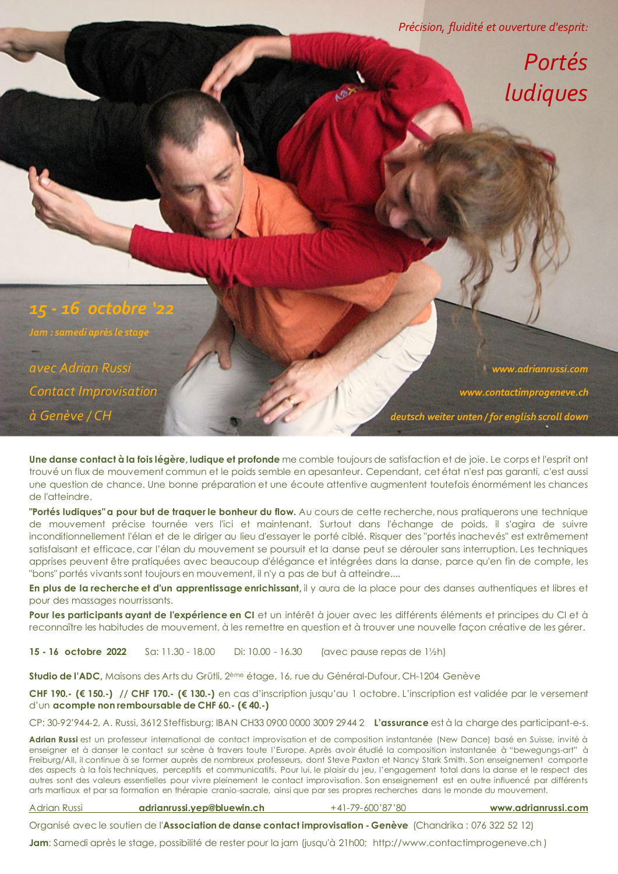*Précision, fluidité et ouverture d'esprit:*

## *Portés ludiques*

*15 - 16 octobre '22 Jam : samedi après le stage avec Adrian Russi www.adrianrussi.com Contact Improvisation www.contactimprogeneve.ch*

*à Genève / CH deutsch weiter unten / for english scroll down*

**Une danse contact à la fois légère, ludique et profonde** me comble toujours de satisfaction et de joie. Le corps et l'esprit ont trouvé un flux de mouvement commun et le poids semble en apesanteur. Cependant, cet état n'est pas garanti, c'est aussi une question de chance. Une bonne préparation et une écoute attentive augmentent toutefois énormément les chances de l'atteindre.

**"Portés ludiques" a pour but de traquer le bonheur du flow.** Au cours de cette recherche, nous pratiquerons une technique de mouvement précise tournée vers l'ici et maintenant. Surtout dans l'échange de poids, il s'agira de suivre inconditionnellement l'élan et de le diriger au lieu d'essayer le porté ciblé. Risquer des "portés inachevés" est extrêmement satisfaisant et efficace, car l'élan du mouvement se poursuit et la danse peut se dérouler sans interruption. Les techniques apprises peuvent être pratiquées avec beaucoup d'élégance et intégrées dans la danse, parce qu'en fin de compte, les "bons" portés vivants sont toujours en mouvement, il n'y a pas de but à atteindre....

**En plus de la recherche et d'un apprentissage enrichissant,** il y aura de la place pour des danses authentiques et libres et pour des massages nourrissants.

Pour les participants ayant de l'expérience en CI et un intérêt à jouer avec les différents éléments et principes du CI et à reconnaître les habitudes de mouvement, à les remettre en question et à trouver une nouvelle façon créative de les gérer.

**15 - 16 octobre 2022** Sa: 11.30 - 18.00 Di: 10.00 - 16.30 (avec pause repas de 1½h)

**Studio de l'ADC,** Maisons des Arts du Grütli, 2ème étage, 16, rue du Général-Dufour, CH-1204 Genève

**CHF 190.- (€ 150.-) // CHF 170.- (€ 130.-)** en cas d'inscription jusqu'au 1 octobre. L'inscription est validée par le versement d'un **acompte non remboursable de CHF 60.- (€ 40.-)**

CP: 30-92'944-2, A. Russi, 3612 Steffisburg; IBAN CH33 0900 0000 3009 2944 2 **L'assurance** est à la charge des participant-e-s.

Adrian Russi est un professeur international de contact improvisation et de composition instantanée (New Dance) basé en Suisse, invité à enseigner et à danser le contact sur scène à travers toute l'Europe. Après avoir étudié la composition instantanée à "bewegungs-art" à Freiburg/All, il continue à se former auprès de nombreux professeurs, dont Steve Paxton et Nancy Stark Smith. Son enseignement comporte des aspects à la fois techniques, perceptifs et communicatifs. Pour lui, le plaisir du jeu, l'engagement total dans la danse et le respect des autres sont des valeurs essentielles pour vivre pleinement le contact improvisation. Son enseignement est en outre influencé par différents arts martiaux et par sa formation en thérapie cranio-sacrale, ainsi que par ses propres recherches dans le monde du mouvement.

Adrian Russi **adrianrussi.yep@bluewin.ch** +41-79-600'87'80 **www.adrianrussi.com**

Organisé avec le soutien de l'**Association de danse contact improvisation - Genève** (Chandrika : 076 322 52 12)

**Jam**: Samedi après le stage, possibilité de rester pour la jam (jusqu'à 21h00; http://www.contactimprogeneve.ch )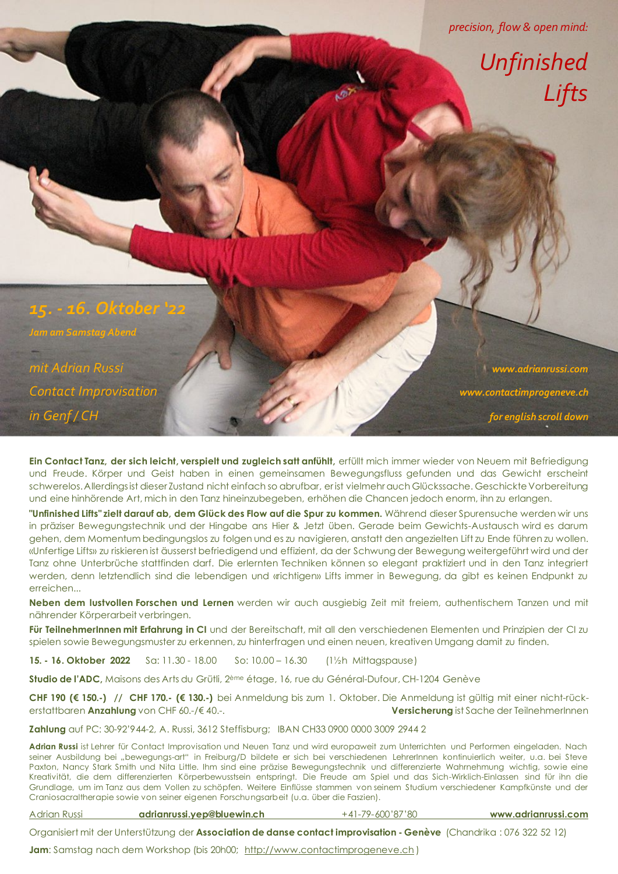*precision, flow & open mind:*

 *Unfinished Lifts*

*15. - 16. Oktober '22 Jam am Samstag Abend mit Adrian Russi www.adrianrussi.com Contact Improvisation www.contactimprogeneve.ch*

*in Genf / CH for english scroll down*

**Ein Contact Tanz, der sich leicht, verspielt und zugleich satt anfühlt,** erfüllt mich immer wieder von Neuem mit Befriedigung und Freude. Körper und Geist haben in einen gemeinsamen Bewegungsfluss gefunden und das Gewicht erscheint schwerelos. Allerdings ist dieser Zustand nicht einfach so abrufbar, er ist vielmehr auch Glückssache. Geschickte Vorbereitung und eine hinhörende Art, mich in den Tanz hineinzubegeben, erhöhen die Chancen jedoch enorm, ihn zu erlangen.

**"Unfinished Lifts" zielt darauf ab, dem Glück des Flow auf die Spur zu kommen.** Während dieser Spurensuche werden wir uns in präziser Bewegungstechnik und der Hingabe ans Hier & Jetzt üben. Gerade beim Gewichts-Austausch wird es darum gehen, dem Momentum bedingungslos zu folgen und es zu navigieren, anstatt den angezielten Lift zu Ende führen zu wollen. «Unfertige Lifts» zu riskieren ist äusserst befriedigend und effizient, da der Schwung der Bewegung weitergeführt wird und der Tanz ohne Unterbrüche stattfinden darf. Die erlernten Techniken können so elegant praktiziert und in den Tanz integriert werden, denn letztendlich sind die lebendigen und «richtigen» Lifts immer in Bewegung, da gibt es keinen Endpunkt zu erreichen...

**Neben dem lustvollen Forschen und Lernen** werden wir auch ausgiebig Zeit mit freiem, authentischem Tanzen und mit nährender Körperarbeit verbringen.

**Für TeilnehmerInnen mit Erfahrung in CI** und der Bereitschaft, mit all den verschiedenen Elementen und Prinzipien der CI zu spielen sowie Bewegungsmuster zu erkennen, zu hinterfragen und einen neuen, kreativen Umgang damit zu finden.

**15. - 16. Oktober 2022** Sa: 11.30 - 18.00 So: 10.00 – 16.30 (1½h Mittagspause)

**Studio de l'ADC,** Maisons des Arts du Grütli, 2ème étage, 16, rue du Général-Dufour, CH-1204 Genève

**CHF 190 (€ 150.-) // CHF 170.- (€ 130.-)** bei Anmeldung bis zum 1. Oktober. Die Anmeldung ist gültig mit einer nicht-rückerstattbaren **Anzahlung** von CHF 60.-/€ 40.-. **Versicherung** ist Sache der TeilnehmerInnen

**Zahlung** auf PC: 30-92'944-2, A. Russi, 3612 Steffisburg; IBAN CH33 0900 0000 3009 2944 2

**Adrian Russi** ist Lehrer für Contact Improvisation und Neuen Tanz und wird europaweit zum Unterrichten und Performen eingeladen. Nach seiner Ausbildung bei "bewegungs-art" in Freiburg/D bildete er sich bei verschiedenen LehrerInnen kontinuierlich weiter, u.a. bei Steve Paxton, Nancy Stark Smith und Nita Little. Ihm sind eine präzise Bewegungstechnik und differenzierte Wahrnehmung wichtig, sowie eine Kreativität, die dem differenzierten Körperbewusstsein entspringt. Die Freude am Spiel und das Sich-Wirklich-Einlassen sind für ihn die Grundlage, um im Tanz aus dem Vollen zu schöpfen. Weitere Einflüsse stammen von seinem Studium verschiedener Kampfkünste und der Craniosacraltherapie sowie von seiner eigenen Forschungsarbeit (u.a. über die Faszien).

Adrian Russi **adrianrussi.yep@bluewin.ch** +41-79-600'87'80 **www.adrianrussi.com**

Organisiert mit der Unterstützung der **Association de danse contact improvisation - Genève** (Chandrika : 076 322 52 12)

Jam: Samstag nach dem Workshop (bis 20h00; http://www.contactimprogeneve.ch)